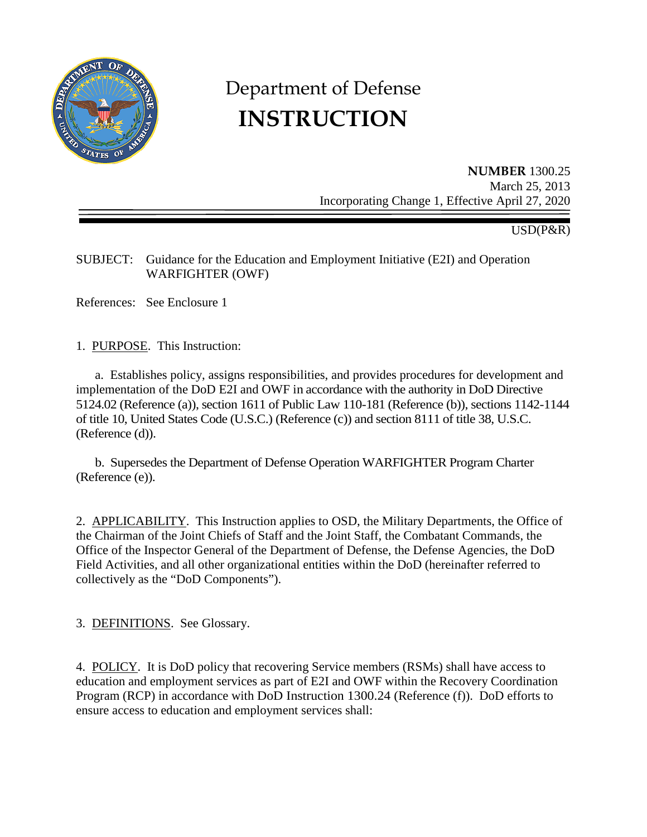

# Department of Defense **INSTRUCTION**

**NUMBER** 1300.25 March 25, 2013 Incorporating Change 1, Effective April 27, 2020

USD(P&R)

# SUBJECT: Guidance for the Education and Employment Initiative (E2I) and Operation WARFIGHTER (OWF)

References: See Enclosure 1

1. PURPOSE. This Instruction:

a. Establishes policy, assigns responsibilities, and provides procedures for development and implementation of the DoD E2I and OWF in accordance with the authority in DoD Directive 5124.02 (Reference (a)), section 1611 of Public Law 110-181 (Reference (b)), sections 1142-1144 of title 10, United States Code (U.S.C.) (Reference (c)) and section 8111 of title 38, U.S.C. (Reference (d)).

b. Supersedes the Department of Defense Operation WARFIGHTER Program Charter (Reference (e)).

2. APPLICABILITY. This Instruction applies to OSD, the Military Departments, the Office of the Chairman of the Joint Chiefs of Staff and the Joint Staff, the Combatant Commands, the Office of the Inspector General of the Department of Defense, the Defense Agencies, the DoD Field Activities, and all other organizational entities within the DoD (hereinafter referred to collectively as the "DoD Components").

3. DEFINITIONS. See Glossary.

4. POLICY. It is DoD policy that recovering Service members (RSMs) shall have access to education and employment services as part of E2I and OWF within the Recovery Coordination Program (RCP) in accordance with DoD Instruction 1300.24 (Reference (f)). DoD efforts to ensure access to education and employment services shall: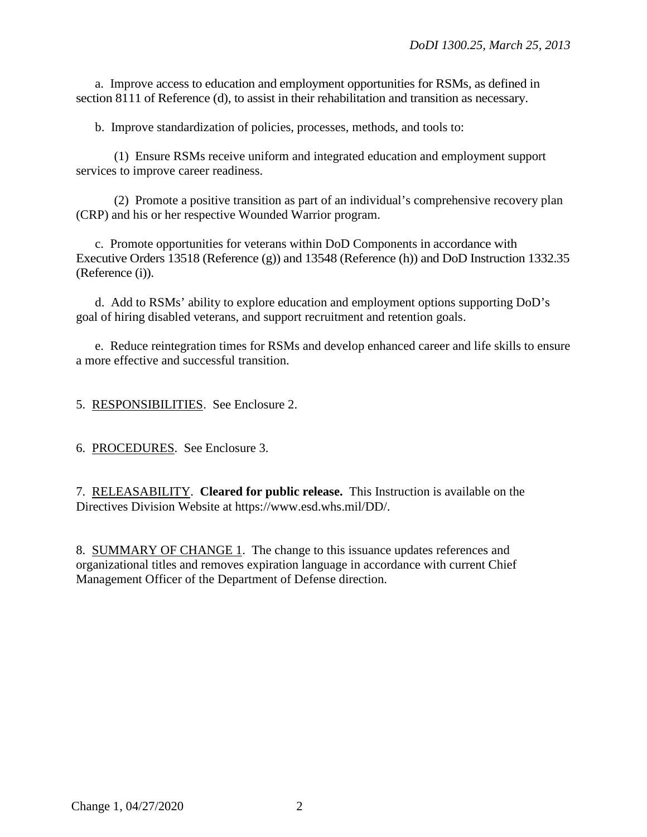a. Improve access to education and employment opportunities for RSMs, as defined in section 8111 of Reference (d), to assist in their rehabilitation and transition as necessary.

b. Improve standardization of policies, processes, methods, and tools to:

(1) Ensure RSMs receive uniform and integrated education and employment support services to improve career readiness.

(2) Promote a positive transition as part of an individual's comprehensive recovery plan (CRP) and his or her respective Wounded Warrior program.

c. Promote opportunities for veterans within DoD Components in accordance with Executive Orders 13518 (Reference (g)) and 13548 (Reference (h)) and DoD Instruction 1332.35 (Reference (i)).

d. Add to RSMs' ability to explore education and employment options supporting DoD's goal of hiring disabled veterans, and support recruitment and retention goals.

e. Reduce reintegration times for RSMs and develop enhanced career and life skills to ensure a more effective and successful transition.

5. RESPONSIBILITIES. See Enclosure 2.

6. PROCEDURES. See Enclosure 3.

7. RELEASABILITY. **Cleared for public release.** This Instruction is available on the Directives Division Website at https://www.esd.whs.mil/DD/.

8. SUMMARY OF CHANGE 1. The change to this issuance updates references and organizational titles and removes expiration language in accordance with current Chief Management Officer of the Department of Defense direction.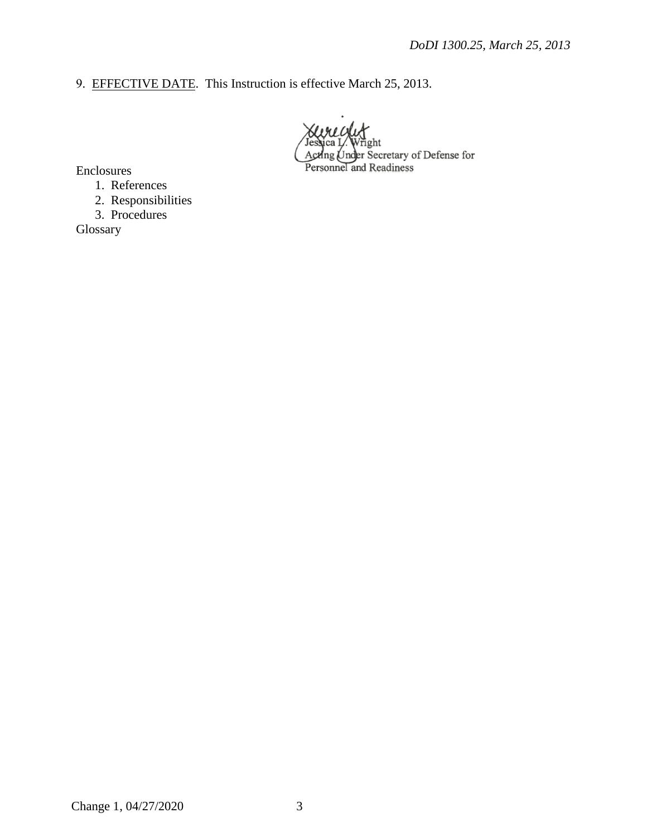9. EFFECTIVE DATE. This Instruction is effective March 25, 2013.

ight Acting Under Secretary of Defense for<br>Personnel and Readiness

Enclosures

1. References

2. Responsibilities

3. Procedures

Glossary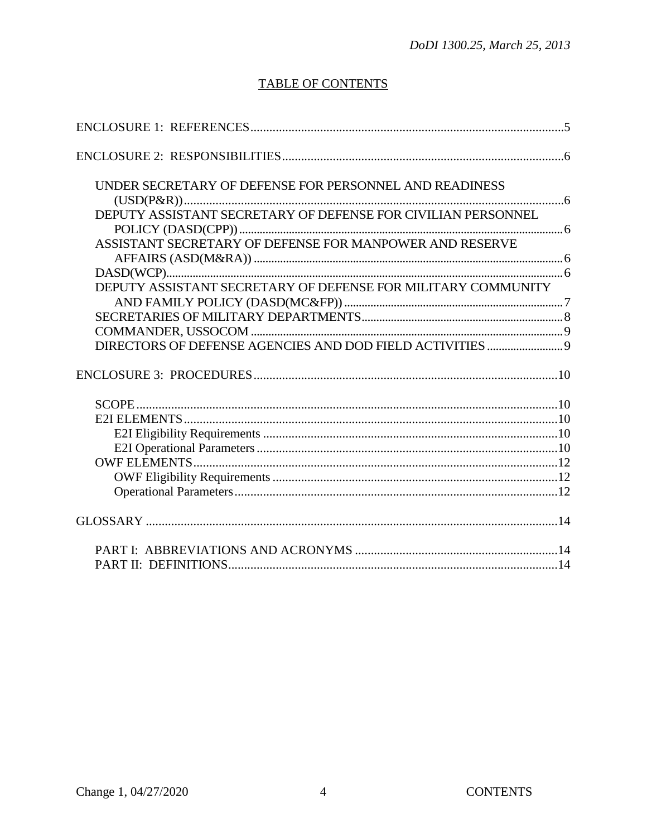# **TABLE OF CONTENTS**

| UNDER SECRETARY OF DEFENSE FOR PERSONNEL AND READINESS       |  |
|--------------------------------------------------------------|--|
|                                                              |  |
| DEPUTY ASSISTANT SECRETARY OF DEFENSE FOR CIVILIAN PERSONNEL |  |
|                                                              |  |
| ASSISTANT SECRETARY OF DEFENSE FOR MANPOWER AND RESERVE      |  |
|                                                              |  |
|                                                              |  |
|                                                              |  |
| DEPUTY ASSISTANT SECRETARY OF DEFENSE FOR MILITARY COMMUNITY |  |
|                                                              |  |
|                                                              |  |
|                                                              |  |
|                                                              |  |
|                                                              |  |
|                                                              |  |
|                                                              |  |
|                                                              |  |
|                                                              |  |
|                                                              |  |
|                                                              |  |
|                                                              |  |
|                                                              |  |
|                                                              |  |
|                                                              |  |
|                                                              |  |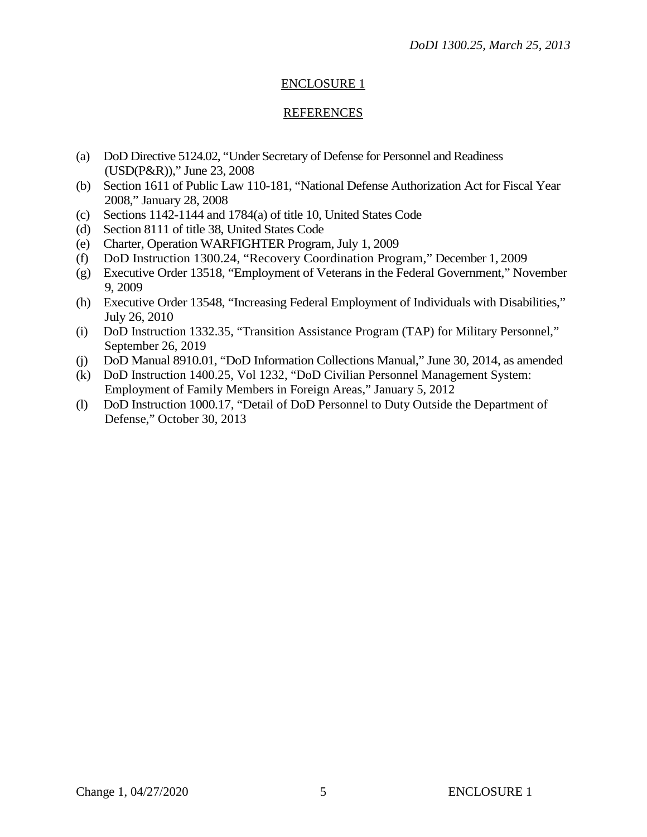## ENCLOSURE 1

#### REFERENCES

- (a) DoD Directive 5124.02, "Under Secretary of Defense for Personnel and Readiness (USD(P&R))," June 23, 2008
- (b) Section 1611 of Public Law 110-181, "National Defense Authorization Act for Fiscal Year 2008," January 28, 2008
- (c) Sections 1142-1144 and 1784(a) of title 10, United States Code
- (d) Section 8111 of title 38, United States Code
- (e) Charter, Operation WARFIGHTER Program, July 1, 2009
- (f) DoD Instruction 1300.24, "Recovery Coordination Program," December 1, 2009
- (g) Executive Order 13518, "Employment of Veterans in the Federal Government," November 9, 2009
- (h) Executive Order 13548, "Increasing Federal Employment of Individuals with Disabilities," July 26, 2010
- (i) DoD Instruction 1332.35, "Transition Assistance Program (TAP) for Military Personnel," September 26, 2019
- (j) DoD Manual 8910.01, "DoD Information Collections Manual," June 30, 2014, as amended
- (k) DoD Instruction 1400.25, Vol 1232, "DoD Civilian Personnel Management System: Employment of Family Members in Foreign Areas," January 5, 2012
- (l) DoD Instruction 1000.17, "Detail of DoD Personnel to Duty Outside the Department of Defense," October 30, 2013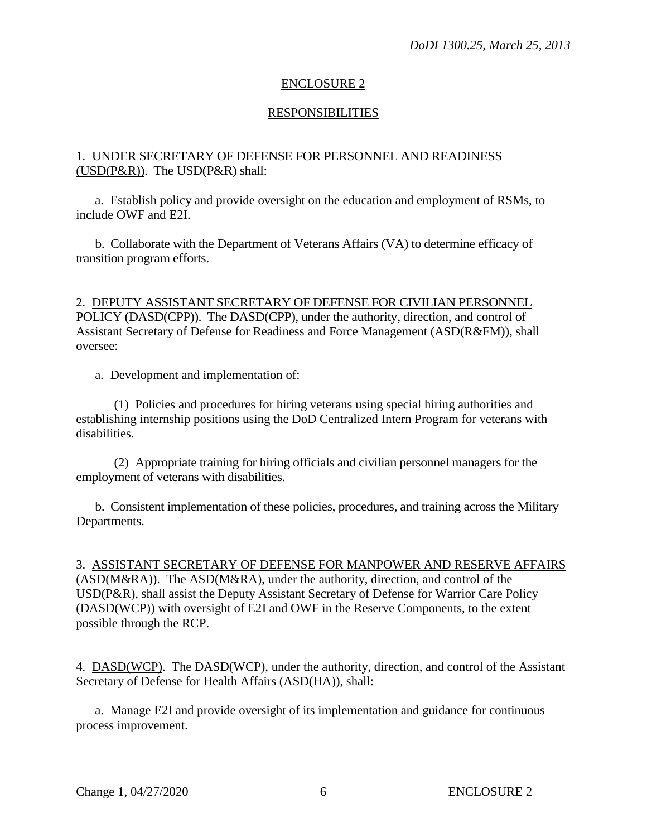## ENCLOSURE 2

## **RESPONSIBILITIES**

## 1. UNDER SECRETARY OF DEFENSE FOR PERSONNEL AND READINESS (USD(P&R)). The USD(P&R) shall:

 a. Establish policy and provide oversight on the education and employment of RSMs, to include OWF and E2I.

b. Collaborate with the Department of Veterans Affairs (VA) to determine efficacy of transition program efforts.

## 2. DEPUTY ASSISTANT SECRETARY OF DEFENSE FOR CIVILIAN PERSONNEL POLICY (DASD(CPP)). The DASD(CPP), under the authority, direction, and control of Assistant Secretary of Defense for Readiness and Force Management (ASD(R&FM)), shall oversee:

a. Development and implementation of:

(1) Policies and procedures for hiring veterans using special hiring authorities and establishing internship positions using the DoD Centralized Intern Program for veterans with disabilities.

(2) Appropriate training for hiring officials and civilian personnel managers for the employment of veterans with disabilities.

b. Consistent implementation of these policies, procedures, and training across the Military Departments.

3. ASSISTANT SECRETARY OF DEFENSE FOR MANPOWER AND RESERVE AFFAIRS (ASD(M&RA)). The ASD(M&RA), under the authority, direction, and control of the USD(P&R), shall assist the Deputy Assistant Secretary of Defense for Warrior Care Policy (DASD(WCP)) with oversight of E2I and OWF in the Reserve Components, to the extent possible through the RCP.

4. DASD(WCP). The DASD(WCP), under the authority, direction, and control of the Assistant Secretary of Defense for Health Affairs (ASD(HA)), shall:

a. Manage E2I and provide oversight of its implementation and guidance for continuous process improvement.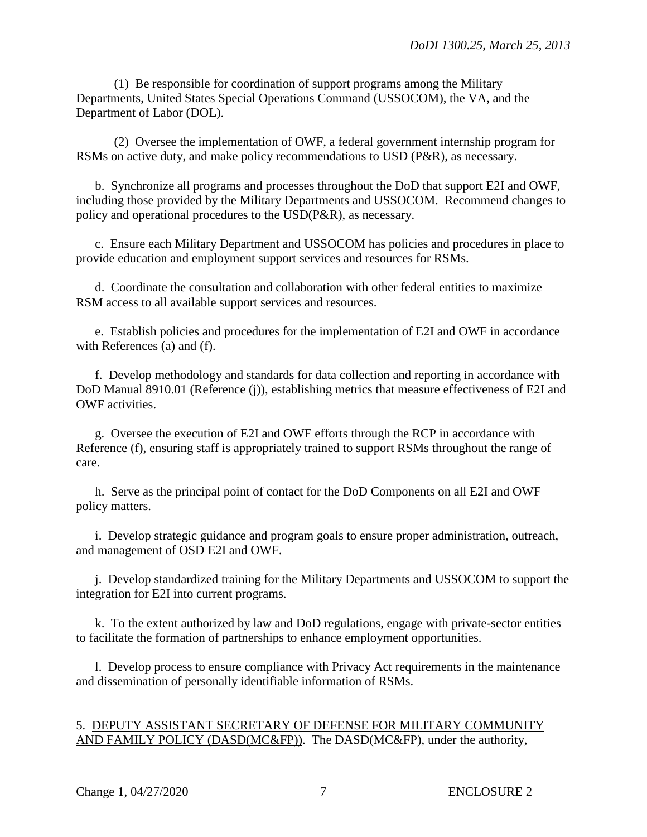(1) Be responsible for coordination of support programs among the Military Departments, United States Special Operations Command (USSOCOM), the VA, and the Department of Labor (DOL).

(2) Oversee the implementation of OWF, a federal government internship program for RSMs on active duty, and make policy recommendations to USD (P&R), as necessary.

 b. Synchronize all programs and processes throughout the DoD that support E2I and OWF, including those provided by the Military Departments and USSOCOM. Recommend changes to policy and operational procedures to the USD(P&R), as necessary.

c. Ensure each Military Department and USSOCOM has policies and procedures in place to provide education and employment support services and resources for RSMs.

 d. Coordinate the consultation and collaboration with other federal entities to maximize RSM access to all available support services and resources.

e. Establish policies and procedures for the implementation of E2I and OWF in accordance with References (a) and (f).

 f. Develop methodology and standards for data collection and reporting in accordance with DoD Manual 8910.01 (Reference (j)), establishing metrics that measure effectiveness of E2I and OWF activities.

 g. Oversee the execution of E2I and OWF efforts through the RCP in accordance with Reference (f), ensuring staff is appropriately trained to support RSMs throughout the range of care.

 h. Serve as the principal point of contact for the DoD Components on all E2I and OWF policy matters.

 i. Develop strategic guidance and program goals to ensure proper administration, outreach, and management of OSD E2I and OWF.

 j. Develop standardized training for the Military Departments and USSOCOM to support the integration for E2I into current programs.

 k. To the extent authorized by law and DoD regulations, engage with private-sector entities to facilitate the formation of partnerships to enhance employment opportunities.

 l. Develop process to ensure compliance with Privacy Act requirements in the maintenance and dissemination of personally identifiable information of RSMs.

## 5. DEPUTY ASSISTANT SECRETARY OF DEFENSE FOR MILITARY COMMUNITY AND FAMILY POLICY (DASD(MC&FP)). The DASD(MC&FP), under the authority,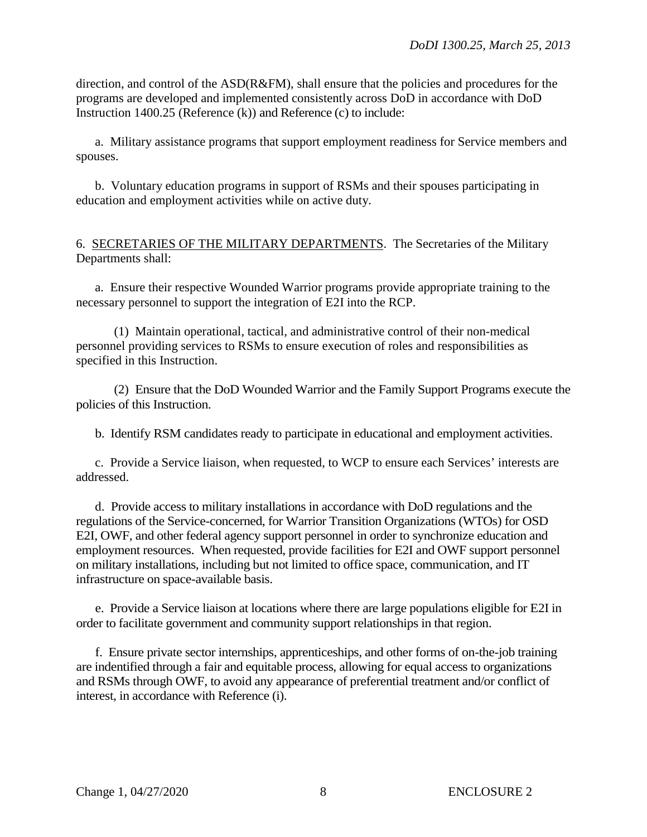direction, and control of the ASD(R&FM), shall ensure that the policies and procedures for the programs are developed and implemented consistently across DoD in accordance with DoD Instruction 1400.25 (Reference (k)) and Reference (c) to include:

a. Military assistance programs that support employment readiness for Service members and spouses.

 b. Voluntary education programs in support of RSMs and their spouses participating in education and employment activities while on active duty.

#### 6. SECRETARIES OF THE MILITARY DEPARTMENTS. The Secretaries of the Military Departments shall:

a. Ensure their respective Wounded Warrior programs provide appropriate training to the necessary personnel to support the integration of E2I into the RCP.

 (1) Maintain operational, tactical, and administrative control of their non-medical personnel providing services to RSMs to ensure execution of roles and responsibilities as specified in this Instruction.

 (2) Ensure that the DoD Wounded Warrior and the Family Support Programs execute the policies of this Instruction.

b. Identify RSM candidates ready to participate in educational and employment activities.

 c. Provide a Service liaison, when requested, to WCP to ensure each Services' interests are addressed.

d. Provide access to military installations in accordance with DoD regulations and the regulations of the Service-concerned, for Warrior Transition Organizations (WTOs) for OSD E2I, OWF, and other federal agency support personnel in order to synchronize education and employment resources. When requested, provide facilities for E2I and OWF support personnel on military installations, including but not limited to office space, communication, and IT infrastructure on space-available basis.

 e. Provide a Service liaison at locations where there are large populations eligible for E2I in order to facilitate government and community support relationships in that region.

 f. Ensure private sector internships, apprenticeships, and other forms of on-the-job training are indentified through a fair and equitable process, allowing for equal access to organizations and RSMs through OWF, to avoid any appearance of preferential treatment and/or conflict of interest, in accordance with Reference (i).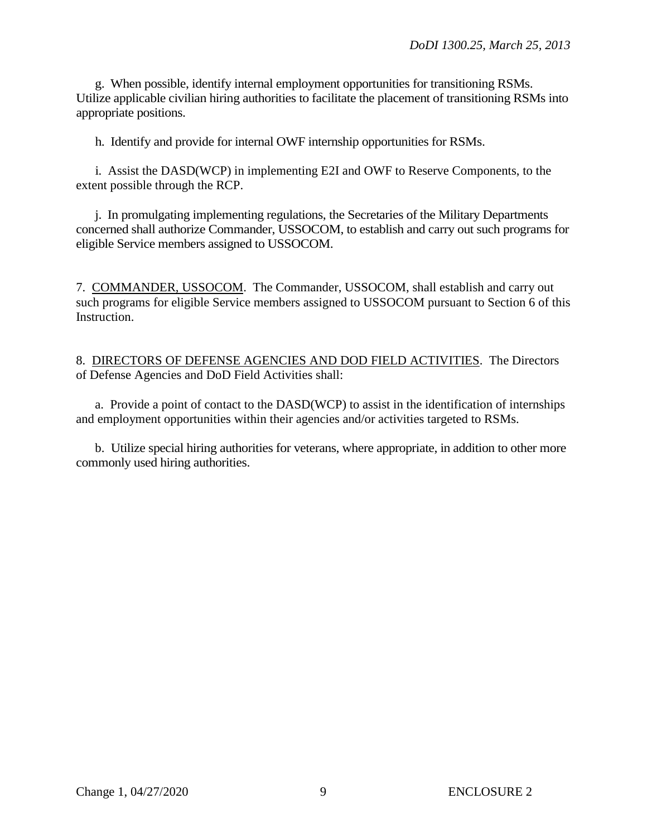g. When possible, identify internal employment opportunities for transitioning RSMs. Utilize applicable civilian hiring authorities to facilitate the placement of transitioning RSMs into appropriate positions.

h. Identify and provide for internal OWF internship opportunities for RSMs.

 i. Assist the DASD(WCP) in implementing E2I and OWF to Reserve Components, to the extent possible through the RCP.

j. In promulgating implementing regulations, the Secretaries of the Military Departments concerned shall authorize Commander, USSOCOM, to establish and carry out such programs for eligible Service members assigned to USSOCOM.

7. COMMANDER, USSOCOM. The Commander, USSOCOM, shall establish and carry out such programs for eligible Service members assigned to USSOCOM pursuant to Section 6 of this Instruction.

8. DIRECTORS OF DEFENSE AGENCIES AND DOD FIELD ACTIVITIES. The Directors of Defense Agencies and DoD Field Activities shall:

a. Provide a point of contact to the DASD(WCP) to assist in the identification of internships and employment opportunities within their agencies and/or activities targeted to RSMs.

 b. Utilize special hiring authorities for veterans, where appropriate, in addition to other more commonly used hiring authorities.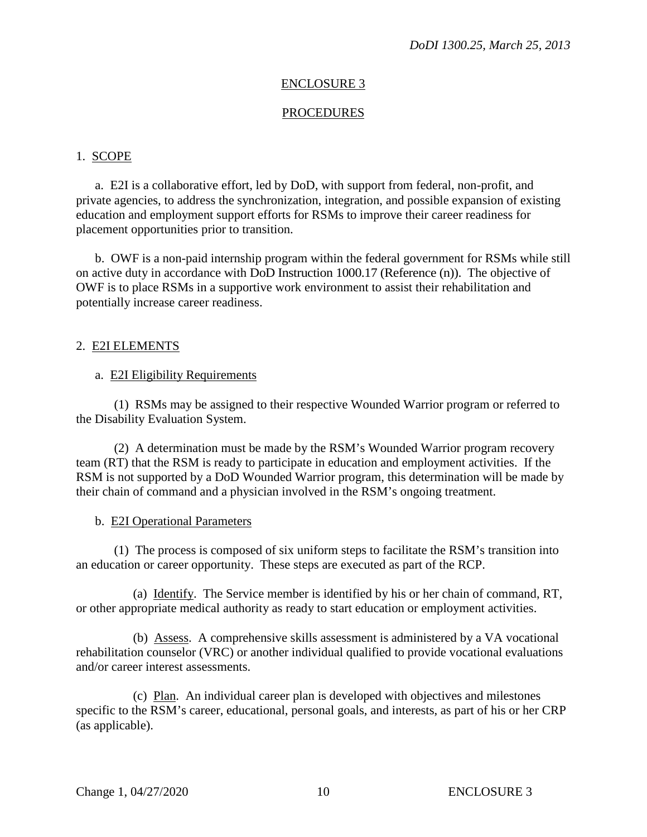#### ENCLOSURE 3

#### PROCEDURES

#### 1. SCOPE

a. E2I is a collaborative effort, led by DoD, with support from federal, non-profit, and private agencies, to address the synchronization, integration, and possible expansion of existing education and employment support efforts for RSMs to improve their career readiness for placement opportunities prior to transition.

 b. OWF is a non-paid internship program within the federal government for RSMs while still on active duty in accordance with DoD Instruction 1000.17 (Reference (n)). The objective of OWF is to place RSMs in a supportive work environment to assist their rehabilitation and potentially increase career readiness.

#### 2. E2I ELEMENTS

#### a. E2I Eligibility Requirements

 (1) RSMs may be assigned to their respective Wounded Warrior program or referred to the Disability Evaluation System.

 (2) A determination must be made by the RSM's Wounded Warrior program recovery team (RT) that the RSM is ready to participate in education and employment activities. If the RSM is not supported by a DoD Wounded Warrior program, this determination will be made by their chain of command and a physician involved in the RSM's ongoing treatment.

#### b. E2I Operational Parameters

 (1) The process is composed of six uniform steps to facilitate the RSM's transition into an education or career opportunity. These steps are executed as part of the RCP.

 (a) Identify. The Service member is identified by his or her chain of command, RT, or other appropriate medical authority as ready to start education or employment activities.

 (b) Assess. A comprehensive skills assessment is administered by a VA vocational rehabilitation counselor (VRC) or another individual qualified to provide vocational evaluations and/or career interest assessments.

 (c) Plan. An individual career plan is developed with objectives and milestones specific to the RSM's career, educational, personal goals, and interests, as part of his or her CRP (as applicable).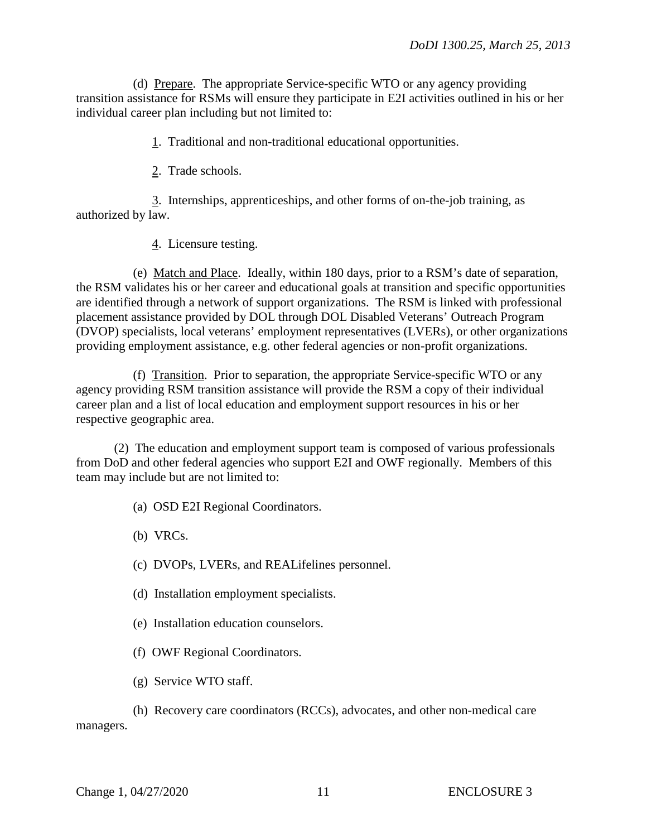(d) Prepare. The appropriate Service-specific WTO or any agency providing transition assistance for RSMs will ensure they participate in E2I activities outlined in his or her individual career plan including but not limited to:

1. Traditional and non-traditional educational opportunities.

2. Trade schools.

3. Internships, apprenticeships, and other forms of on-the-job training, as authorized by law.

4. Licensure testing.

 (e) Match and Place. Ideally, within 180 days, prior to a RSM's date of separation, the RSM validates his or her career and educational goals at transition and specific opportunities are identified through a network of support organizations. The RSM is linked with professional placement assistance provided by DOL through DOL Disabled Veterans' Outreach Program (DVOP) specialists, local veterans' employment representatives (LVERs), or other organizations providing employment assistance, e.g. other federal agencies or non-profit organizations.

 (f) Transition. Prior to separation, the appropriate Service-specific WTO or any agency providing RSM transition assistance will provide the RSM a copy of their individual career plan and a list of local education and employment support resources in his or her respective geographic area.

 (2) The education and employment support team is composed of various professionals from DoD and other federal agencies who support E2I and OWF regionally. Members of this team may include but are not limited to:

(a) OSD E2I Regional Coordinators.

(b) VRCs.

(c) DVOPs, LVERs, and REALifelines personnel.

- (d) Installation employment specialists.
- (e) Installation education counselors.

(f) OWF Regional Coordinators.

(g) Service WTO staff.

 (h) Recovery care coordinators (RCCs), advocates, and other non-medical care managers.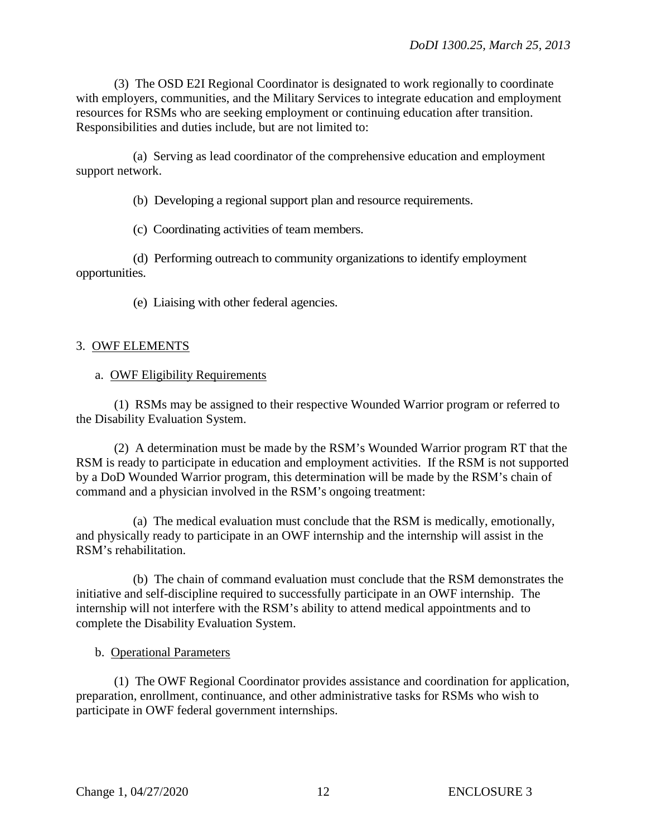(3) The OSD E2I Regional Coordinator is designated to work regionally to coordinate with employers, communities, and the Military Services to integrate education and employment resources for RSMs who are seeking employment or continuing education after transition. Responsibilities and duties include, but are not limited to:

 (a) Serving as lead coordinator of the comprehensive education and employment support network.

(b) Developing a regional support plan and resource requirements.

(c) Coordinating activities of team members.

 (d) Performing outreach to community organizations to identify employment opportunities.

(e) Liaising with other federal agencies.

## 3. OWF ELEMENTS

#### a. OWF Eligibility Requirements

 (1) RSMs may be assigned to their respective Wounded Warrior program or referred to the Disability Evaluation System.

 (2) A determination must be made by the RSM's Wounded Warrior program RT that the RSM is ready to participate in education and employment activities. If the RSM is not supported by a DoD Wounded Warrior program, this determination will be made by the RSM's chain of command and a physician involved in the RSM's ongoing treatment:

 (a) The medical evaluation must conclude that the RSM is medically, emotionally, and physically ready to participate in an OWF internship and the internship will assist in the RSM's rehabilitation.

 (b) The chain of command evaluation must conclude that the RSM demonstrates the initiative and self-discipline required to successfully participate in an OWF internship. The internship will not interfere with the RSM's ability to attend medical appointments and to complete the Disability Evaluation System.

## b. Operational Parameters

 (1) The OWF Regional Coordinator provides assistance and coordination for application, preparation, enrollment, continuance, and other administrative tasks for RSMs who wish to participate in OWF federal government internships.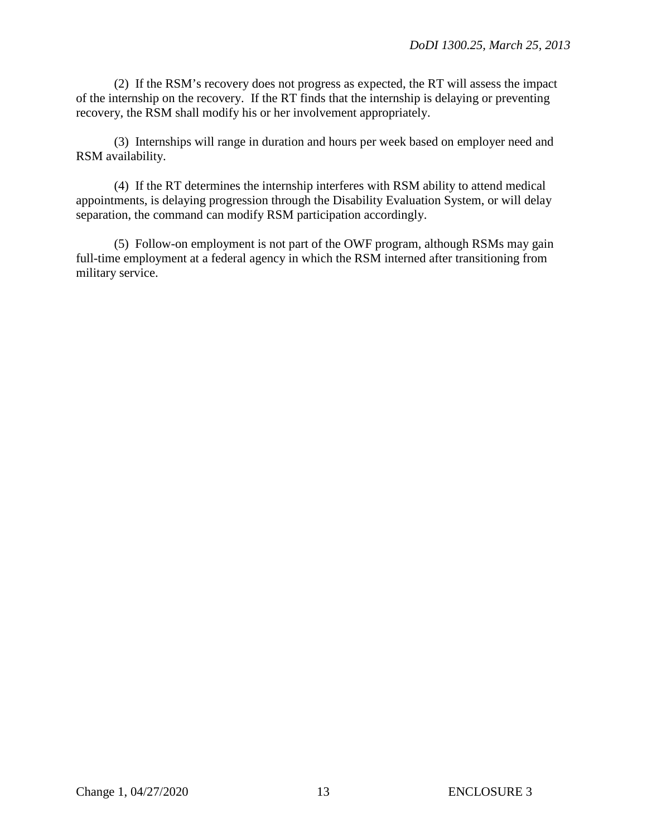(2) If the RSM's recovery does not progress as expected, the RT will assess the impact of the internship on the recovery. If the RT finds that the internship is delaying or preventing recovery, the RSM shall modify his or her involvement appropriately.

 (3) Internships will range in duration and hours per week based on employer need and RSM availability.

 (4) If the RT determines the internship interferes with RSM ability to attend medical appointments, is delaying progression through the Disability Evaluation System, or will delay separation, the command can modify RSM participation accordingly.

 (5) Follow-on employment is not part of the OWF program, although RSMs may gain full-time employment at a federal agency in which the RSM interned after transitioning from military service.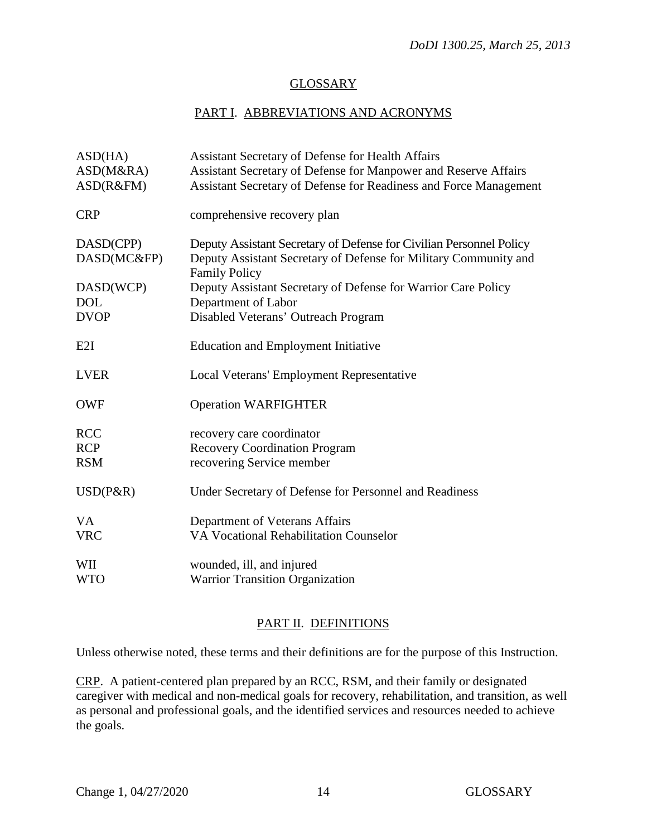## **GLOSSARY**

# PART I. ABBREVIATIONS AND ACRONYMS

| ASD(HA)     | <b>Assistant Secretary of Defense for Health Affairs</b>                                 |
|-------------|------------------------------------------------------------------------------------------|
| ASD(M&RA)   | Assistant Secretary of Defense for Manpower and Reserve Affairs                          |
| ASD(R&FM)   | Assistant Secretary of Defense for Readiness and Force Management                        |
| <b>CRP</b>  | comprehensive recovery plan                                                              |
| DASD(CPP)   | Deputy Assistant Secretary of Defense for Civilian Personnel Policy                      |
| DASD(MC&FP) | Deputy Assistant Secretary of Defense for Military Community and<br><b>Family Policy</b> |
| DASD(WCP)   | Deputy Assistant Secretary of Defense for Warrior Care Policy                            |
| <b>DOL</b>  | Department of Labor                                                                      |
| <b>DVOP</b> | Disabled Veterans' Outreach Program                                                      |
| E2I         | <b>Education and Employment Initiative</b>                                               |
| <b>LVER</b> | Local Veterans' Employment Representative                                                |
| <b>OWF</b>  | <b>Operation WARFIGHTER</b>                                                              |
| <b>RCC</b>  | recovery care coordinator                                                                |
| <b>RCP</b>  | <b>Recovery Coordination Program</b>                                                     |
| <b>RSM</b>  | recovering Service member                                                                |
| $USD(P\&R)$ | Under Secretary of Defense for Personnel and Readiness                                   |
| VA.         | Department of Veterans Affairs                                                           |
| <b>VRC</b>  | <b>VA Vocational Rehabilitation Counselor</b>                                            |
| WII         | wounded, ill, and injured                                                                |
| <b>WTO</b>  | <b>Warrior Transition Organization</b>                                                   |
|             |                                                                                          |

## PART II. DEFINITIONS

Unless otherwise noted, these terms and their definitions are for the purpose of this Instruction.

CRP. A patient-centered plan prepared by an RCC, RSM, and their family or designated caregiver with medical and non-medical goals for recovery, rehabilitation, and transition, as well as personal and professional goals, and the identified services and resources needed to achieve the goals.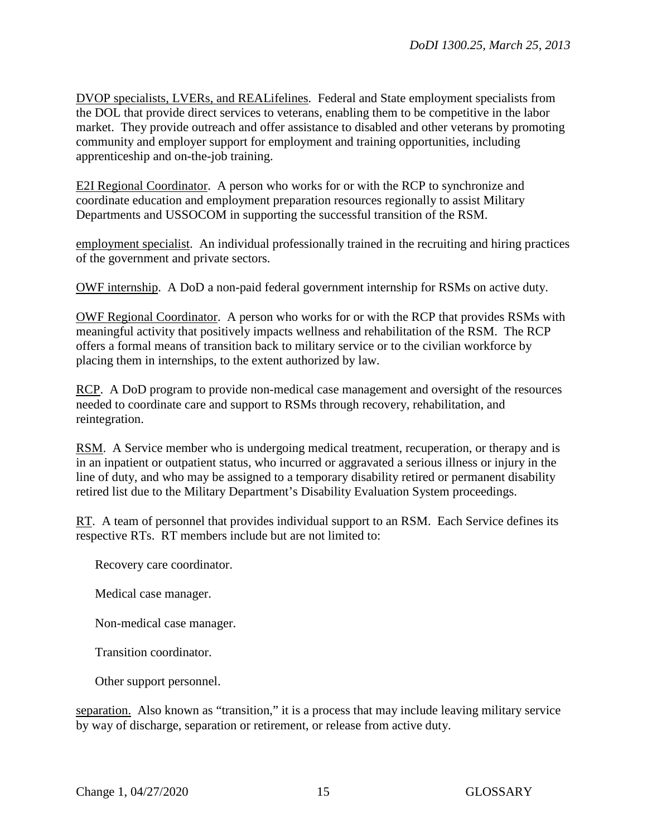DVOP specialists, LVERs, and REALifelines. Federal and State employment specialists from the DOL that provide direct services to veterans, enabling them to be competitive in the labor market. They provide outreach and offer assistance to disabled and other veterans by promoting community and employer support for employment and training opportunities, including apprenticeship and on-the-job training.

E2I Regional Coordinator. A person who works for or with the RCP to synchronize and coordinate education and employment preparation resources regionally to assist Military Departments and USSOCOM in supporting the successful transition of the RSM.

employment specialist. An individual professionally trained in the recruiting and hiring practices of the government and private sectors.

OWF internship. A DoD a non-paid federal government internship for RSMs on active duty.

OWF Regional Coordinator. A person who works for or with the RCP that provides RSMs with meaningful activity that positively impacts wellness and rehabilitation of the RSM. The RCP offers a formal means of transition back to military service or to the civilian workforce by placing them in internships, to the extent authorized by law.

RCP. A DoD program to provide non-medical case management and oversight of the resources needed to coordinate care and support to RSMs through recovery, rehabilitation, and reintegration.

RSM. A Service member who is undergoing medical treatment, recuperation, or therapy and is in an inpatient or outpatient status, who incurred or aggravated a serious illness or injury in the line of duty, and who may be assigned to a temporary disability retired or permanent disability retired list due to the Military Department's Disability Evaluation System proceedings.

RT. A team of personnel that provides individual support to an RSM. Each Service defines its respective RTs. RT members include but are not limited to:

Recovery care coordinator.

Medical case manager.

Non-medical case manager.

Transition coordinator.

Other support personnel.

separation. Also known as "transition," it is a process that may include leaving military service by way of discharge, separation or retirement, or release from active duty.